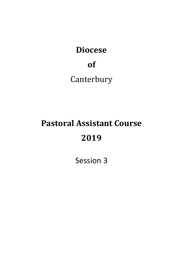## **Diocese**

## **of**

**Canterbury** 

## **Pastoral Assistant Course 2019**

Session 3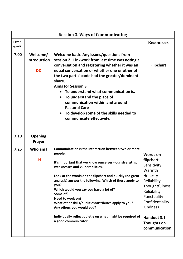| <b>Session 3. Ways of Communicating</b> |                                              |                                                                                                                                                                                                                                                                                                                                                                                                                                                                                                                                                 |                                                                                                                                                                                                                      |  |  |  |
|-----------------------------------------|----------------------------------------------|-------------------------------------------------------------------------------------------------------------------------------------------------------------------------------------------------------------------------------------------------------------------------------------------------------------------------------------------------------------------------------------------------------------------------------------------------------------------------------------------------------------------------------------------------|----------------------------------------------------------------------------------------------------------------------------------------------------------------------------------------------------------------------|--|--|--|
| <b>Time</b><br>approX                   |                                              |                                                                                                                                                                                                                                                                                                                                                                                                                                                                                                                                                 | <b>Resources</b>                                                                                                                                                                                                     |  |  |  |
| 7.00                                    | Welcome/<br><b>Introduction</b><br><b>DD</b> | Welcome back. Any issues/questions from<br>session 2. Linkwork from last time was noting a<br>conversation and registering whether it was an<br>equal conversation or whether one or other of<br>the two participants had the greater/dominant<br>share.<br><b>Aims for Session 3</b><br>To understand what communication is.<br>To understand the place of<br>$\bullet$<br>communication within and around<br><b>Pastoral Care</b><br>To develop some of the skills needed to<br>$\bullet$<br>communicate effectively.                         | <b>Flipchart</b>                                                                                                                                                                                                     |  |  |  |
| 7.10                                    | <b>Opening</b><br>Prayer                     |                                                                                                                                                                                                                                                                                                                                                                                                                                                                                                                                                 |                                                                                                                                                                                                                      |  |  |  |
| 7.25                                    | Who am I<br><b>LH</b>                        | Communication is the interaction between two or more<br>people.<br>It's important that we know ourselves - our strengths,<br>weaknesses and vulnerabilities.<br>Look at the words on the flipchart and quickly (no great<br>analysis) answer the following. Which of these apply to<br>you?<br>Which would you say you have a lot of?<br>Some of?<br>Need to work on?<br>What other skills/qualities/attributes apply to you?<br>Any others you would add?<br>Individually reflect quietly on what might be required of<br>a good communicator. | <b>Words on</b><br>flipchart<br>Sensitivity<br>Warmth<br>Honesty<br>Reliability<br>Thoughtfulness<br>Reliability<br>Punctuality<br>Confidentiality<br><b>Kindness</b><br>Handout 3.1<br>Thoughts on<br>communication |  |  |  |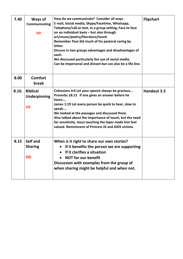| 7.40  | Ways of<br>Communicating<br><b>DD</b>               | How do we communicate? Consider all ways.<br>E mail, Social media, Skype/Facetime, Whatsapp,<br>Telephone/call or text, In a group setting, Face to face<br>on an individual basis - but also through<br>art/music/poetry/literature/touch<br>Remember Paul did much of his pastoral caring by<br>letter.<br>Discuss in two groups advantages and disadvantages of<br>each.<br>We discussed particularly the use of social media.<br>Can be impersonal and distant but can also be a life line. | <b>Flipchart</b> |
|-------|-----------------------------------------------------|-------------------------------------------------------------------------------------------------------------------------------------------------------------------------------------------------------------------------------------------------------------------------------------------------------------------------------------------------------------------------------------------------------------------------------------------------------------------------------------------------|------------------|
| 8.00  | <b>Comfort</b><br>break                             |                                                                                                                                                                                                                                                                                                                                                                                                                                                                                                 |                  |
| 8.10. | <b>Biblical</b><br><b>Underpinning</b><br><b>LH</b> | Colossians 4:6 Let your speech always be gracious<br>Proverbs 18:13 If one gives an answer before he<br>hears<br>James 1:19 Let every person be quick to hear, slow to<br>speak<br>We looked at the passages and discussed them.<br>Also talked about the importance of touch, but the need<br>for sensitivity. Jesus touching the leper made him feel<br>valued. Reminiscent of Princess Di and AIDS victims.                                                                                  | Handout 3.3      |
| 8.15  | Self and<br><b>Sharing</b><br><b>DD</b>             | When is it right to share our own stories?<br>If it benefits the person we are supporting<br>If it clarifies a situation<br><b>NOT for our benefit</b><br>Discussion with examples from the group of<br>when sharing might be helpful and when not.                                                                                                                                                                                                                                             |                  |